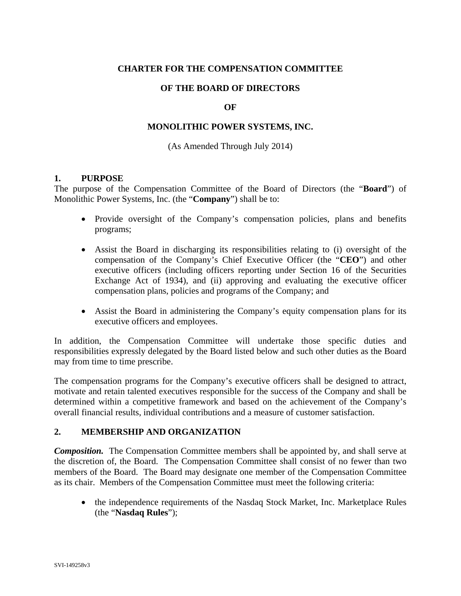## **CHARTER FOR THE COMPENSATION COMMITTEE**

## **OF THE BOARD OF DIRECTORS**

#### **OF**

## **MONOLITHIC POWER SYSTEMS, INC.**

#### (As Amended Through July 2014)

#### **1. PURPOSE**

The purpose of the Compensation Committee of the Board of Directors (the "**Board**") of Monolithic Power Systems, Inc. (the "**Company**") shall be to:

- Provide oversight of the Company's compensation policies, plans and benefits programs;
- Assist the Board in discharging its responsibilities relating to (i) oversight of the compensation of the Company's Chief Executive Officer (the "**CEO**") and other executive officers (including officers reporting under Section 16 of the Securities Exchange Act of 1934), and (ii) approving and evaluating the executive officer compensation plans, policies and programs of the Company; and
- Assist the Board in administering the Company's equity compensation plans for its executive officers and employees.

In addition, the Compensation Committee will undertake those specific duties and responsibilities expressly delegated by the Board listed below and such other duties as the Board may from time to time prescribe.

The compensation programs for the Company's executive officers shall be designed to attract, motivate and retain talented executives responsible for the success of the Company and shall be determined within a competitive framework and based on the achievement of the Company's overall financial results, individual contributions and a measure of customer satisfaction.

#### **2. MEMBERSHIP AND ORGANIZATION**

*Composition.* The Compensation Committee members shall be appointed by, and shall serve at the discretion of, the Board. The Compensation Committee shall consist of no fewer than two members of the Board. The Board may designate one member of the Compensation Committee as its chair. Members of the Compensation Committee must meet the following criteria:

• the independence requirements of the Nasdaq Stock Market, Inc. Marketplace Rules (the "**Nasdaq Rules**");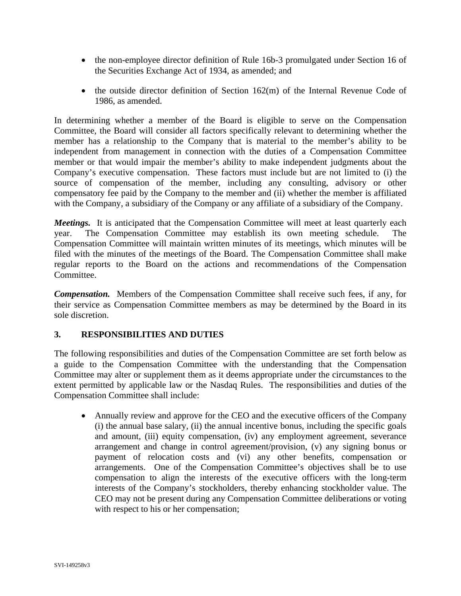- the non-employee director definition of Rule 16b-3 promulgated under Section 16 of the Securities Exchange Act of 1934, as amended; and
- $\bullet$  the outside director definition of Section 162(m) of the Internal Revenue Code of 1986, as amended.

In determining whether a member of the Board is eligible to serve on the Compensation Committee, the Board will consider all factors specifically relevant to determining whether the member has a relationship to the Company that is material to the member's ability to be independent from management in connection with the duties of a Compensation Committee member or that would impair the member's ability to make independent judgments about the Company's executive compensation. These factors must include but are not limited to (i) the source of compensation of the member, including any consulting, advisory or other compensatory fee paid by the Company to the member and (ii) whether the member is affiliated with the Company, a subsidiary of the Company or any affiliate of a subsidiary of the Company.

*Meetings.*It is anticipated that the Compensation Committee will meet at least quarterly each year. The Compensation Committee may establish its own meeting schedule. The Compensation Committee will maintain written minutes of its meetings, which minutes will be filed with the minutes of the meetings of the Board. The Compensation Committee shall make regular reports to the Board on the actions and recommendations of the Compensation Committee.

*Compensation.*Members of the Compensation Committee shall receive such fees, if any, for their service as Compensation Committee members as may be determined by the Board in its sole discretion.

# **3. RESPONSIBILITIES AND DUTIES**

The following responsibilities and duties of the Compensation Committee are set forth below as a guide to the Compensation Committee with the understanding that the Compensation Committee may alter or supplement them as it deems appropriate under the circumstances to the extent permitted by applicable law or the Nasdaq Rules. The responsibilities and duties of the Compensation Committee shall include:

 Annually review and approve for the CEO and the executive officers of the Company (i) the annual base salary, (ii) the annual incentive bonus, including the specific goals and amount, (iii) equity compensation, (iv) any employment agreement, severance arrangement and change in control agreement/provision, (v) any signing bonus or payment of relocation costs and (vi) any other benefits, compensation or arrangements. One of the Compensation Committee's objectives shall be to use compensation to align the interests of the executive officers with the long-term interests of the Company's stockholders, thereby enhancing stockholder value. The CEO may not be present during any Compensation Committee deliberations or voting with respect to his or her compensation;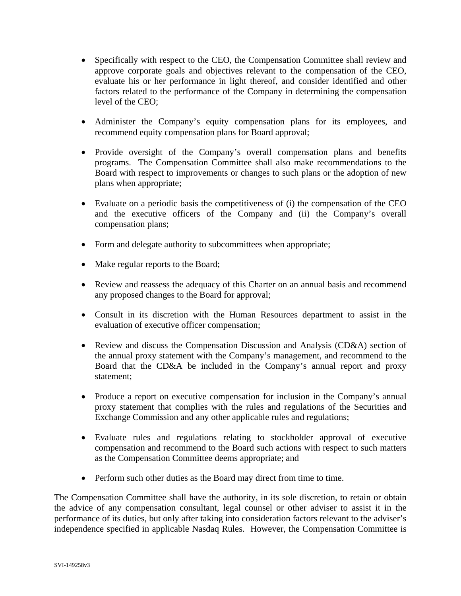- Specifically with respect to the CEO, the Compensation Committee shall review and approve corporate goals and objectives relevant to the compensation of the CEO, evaluate his or her performance in light thereof, and consider identified and other factors related to the performance of the Company in determining the compensation level of the CEO;
- Administer the Company's equity compensation plans for its employees, and recommend equity compensation plans for Board approval;
- Provide oversight of the Company's overall compensation plans and benefits programs. The Compensation Committee shall also make recommendations to the Board with respect to improvements or changes to such plans or the adoption of new plans when appropriate;
- Evaluate on a periodic basis the competitiveness of (i) the compensation of the CEO and the executive officers of the Company and (ii) the Company's overall compensation plans;
- Form and delegate authority to subcommittees when appropriate;
- Make regular reports to the Board;
- Review and reassess the adequacy of this Charter on an annual basis and recommend any proposed changes to the Board for approval;
- Consult in its discretion with the Human Resources department to assist in the evaluation of executive officer compensation;
- Review and discuss the Compensation Discussion and Analysis (CD&A) section of the annual proxy statement with the Company's management, and recommend to the Board that the CD&A be included in the Company's annual report and proxy statement;
- Produce a report on executive compensation for inclusion in the Company's annual proxy statement that complies with the rules and regulations of the Securities and Exchange Commission and any other applicable rules and regulations;
- Evaluate rules and regulations relating to stockholder approval of executive compensation and recommend to the Board such actions with respect to such matters as the Compensation Committee deems appropriate; and
- Perform such other duties as the Board may direct from time to time.

The Compensation Committee shall have the authority, in its sole discretion, to retain or obtain the advice of any compensation consultant, legal counsel or other adviser to assist it in the performance of its duties, but only after taking into consideration factors relevant to the adviser's independence specified in applicable Nasdaq Rules. However, the Compensation Committee is